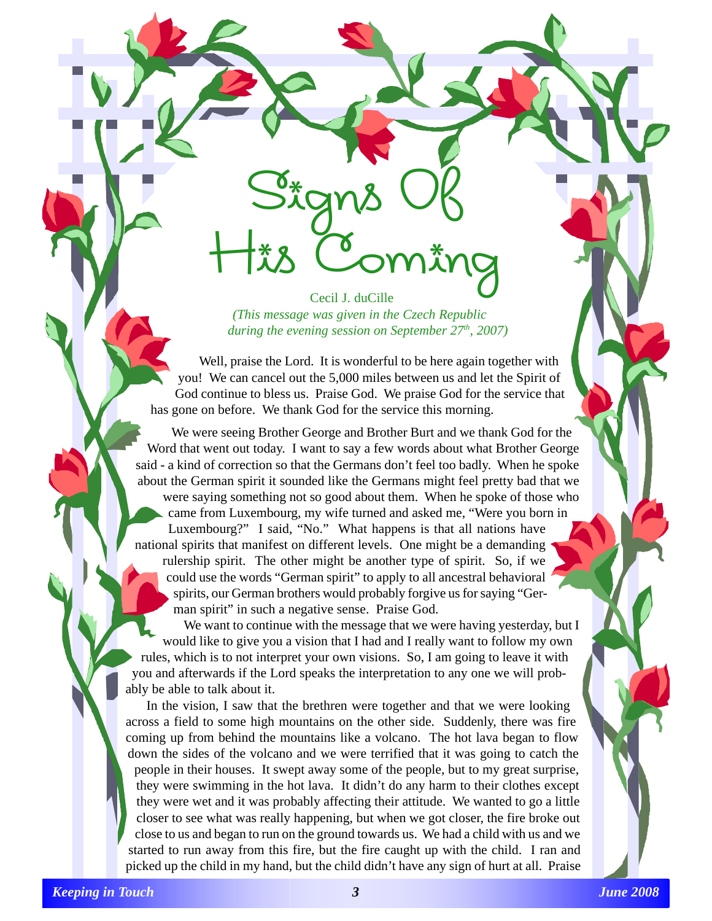Cecil J. duCille *(This message was given in the Czech Republic during the evening session on September 27<sup>th</sup>, 2007*)

Signs Of

His Coming

Well, praise the Lord. It is wonderful to be here again together with you! We can cancel out the 5,000 miles between us and let the Spirit of God continue to bless us. Praise God. We praise God for the service that has gone on before. We thank God for the service this morning.

We were seeing Brother George and Brother Burt and we thank God for the Word that went out today. I want to say a few words about what Brother George said - a kind of correction so that the Germans don't feel too badly. When he spoke about the German spirit it sounded like the Germans might feel pretty bad that we were saying something not so good about them. When he spoke of those who came from Luxembourg, my wife turned and asked me, "Were you born in Luxembourg?" I said, "No." What happens is that all nations have national spirits that manifest on different levels. One might be a demanding rulership spirit. The other might be another type of spirit. So, if we could use the words "German spirit" to apply to all ancestral behavioral spirits, our German brothers would probably forgive us for saying "German spirit" in such a negative sense. Praise God.

We want to continue with the message that we were having yesterday, but I would like to give you a vision that I had and I really want to follow my own rules, which is to not interpret your own visions. So, I am going to leave it with you and afterwards if the Lord speaks the interpretation to any one we will probably be able to talk about it.

In the vision, I saw that the brethren were together and that we were looking across a field to some high mountains on the other side. Suddenly, there was fire coming up from behind the mountains like a volcano. The hot lava began to flow down the sides of the volcano and we were terrified that it was going to catch the people in their houses. It swept away some of the people, but to my great surprise, they were swimming in the hot lava. It didn't do any harm to their clothes except they were wet and it was probably affecting their attitude. We wanted to go a little closer to see what was really happening, but when we got closer, the fire broke out close to us and began to run on the ground towards us. We had a child with us and we started to run away from this fire, but the fire caught up with the child. I ran and picked up the child in my hand, but the child didn't have any sign of hurt at all. Praise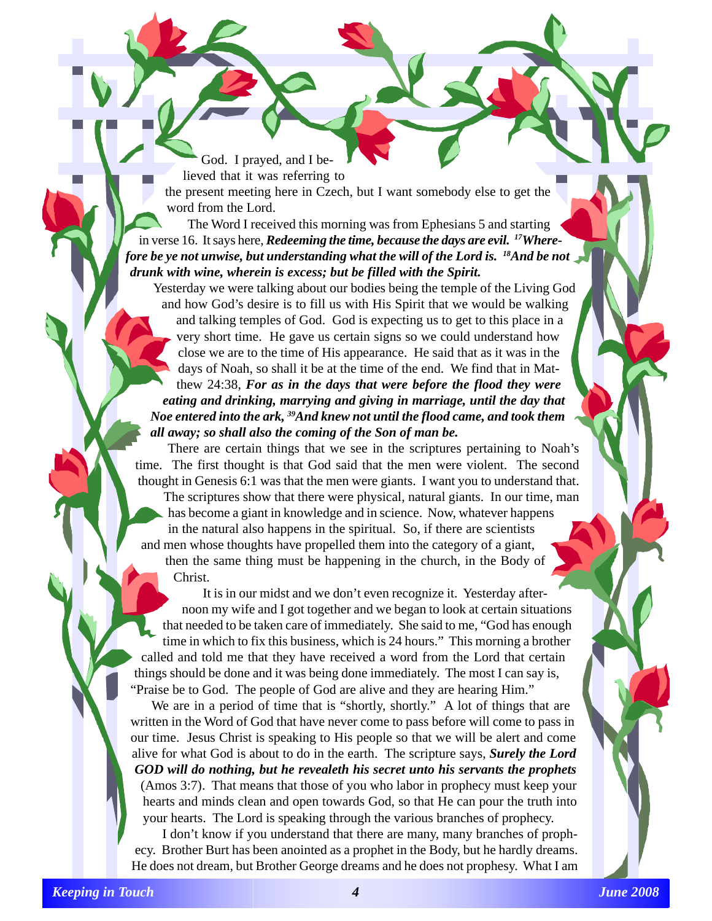God. I prayed, and I believed that it was referring to

the present meeting here in Czech, but I want somebody else to get the word from the Lord.

The Word I received this morning was from Ephesians 5 and starting in verse 16. It says here, *Redeeming the time, because the days are evil. 17Wherefore be ye not unwise, but understanding what the will of the Lord is. 18And be not drunk with wine, wherein is excess; but be filled with the Spirit.*

Yesterday we were talking about our bodies being the temple of the Living God and how God's desire is to fill us with His Spirit that we would be walking and talking temples of God. God is expecting us to get to this place in a very short time. He gave us certain signs so we could understand how close we are to the time of His appearance. He said that as it was in the days of Noah, so shall it be at the time of the end. We find that in Matthew 24:38, *For as in the days that were before the flood they were eating and drinking, marrying and giving in marriage, until the day that Noe entered into the ark, 39And knew not until the flood came, and took them all away; so shall also the coming of the Son of man be.*

There are certain things that we see in the scriptures pertaining to Noah's time. The first thought is that God said that the men were violent. The second thought in Genesis 6:1 was that the men were giants. I want you to understand that. The scriptures show that there were physical, natural giants. In our time, man has become a giant in knowledge and in science. Now, whatever happens in the natural also happens in the spiritual. So, if there are scientists and men whose thoughts have propelled them into the category of a giant, then the same thing must be happening in the church, in the Body of

Christ.

It is in our midst and we don't even recognize it. Yesterday afternoon my wife and I got together and we began to look at certain situations that needed to be taken care of immediately. She said to me, "God has enough time in which to fix this business, which is 24 hours." This morning a brother called and told me that they have received a word from the Lord that certain things should be done and it was being done immediately. The most I can say is, "Praise be to God. The people of God are alive and they are hearing Him."

We are in a period of time that is "shortly, shortly." A lot of things that are written in the Word of God that have never come to pass before will come to pass in our time. Jesus Christ is speaking to His people so that we will be alert and come alive for what God is about to do in the earth. The scripture says, *Surely the Lord GOD will do nothing, but he revealeth his secret unto his servants the prophets* (Amos 3:7). That means that those of you who labor in prophecy must keep your hearts and minds clean and open towards God, so that He can pour the truth into your hearts. The Lord is speaking through the various branches of prophecy.

I don't know if you understand that there are many, many branches of prophecy. Brother Burt has been anointed as a prophet in the Body, but he hardly dreams. He does not dream, but Brother George dreams and he does not prophesy. What I am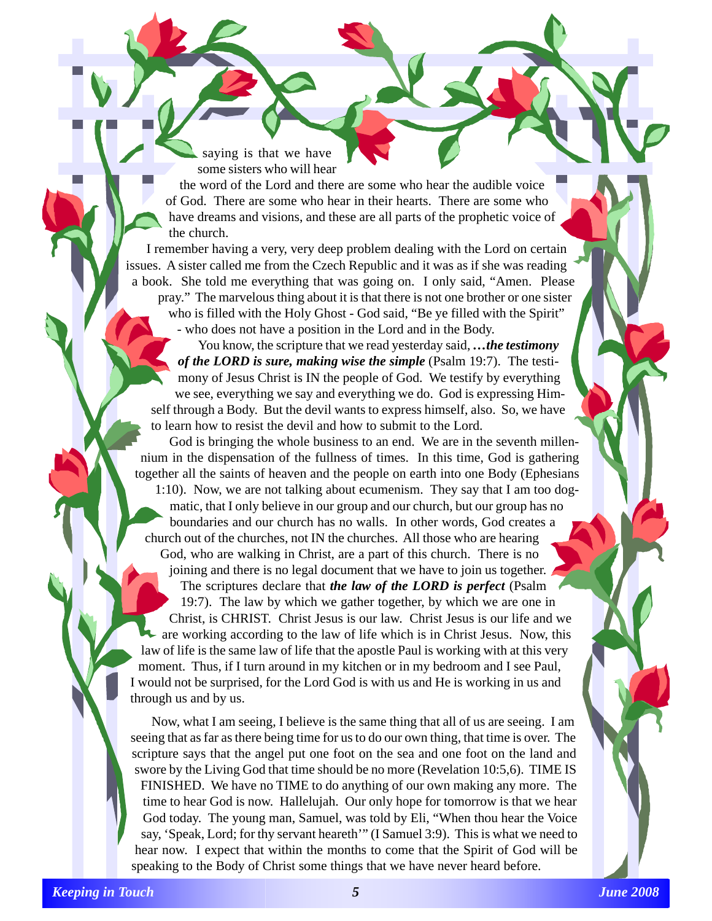saying is that we have some sisters who will hear

the word of the Lord and there are some who hear the audible voice of God. There are some who hear in their hearts. There are some who have dreams and visions, and these are all parts of the prophetic voice of the church.

I remember having a very, very deep problem dealing with the Lord on certain issues. A sister called me from the Czech Republic and it was as if she was reading a book. She told me everything that was going on. I only said, "Amen. Please pray." The marvelous thing about it is that there is not one brother or one sister who is filled with the Holy Ghost - God said, "Be ye filled with the Spirit" - who does not have a position in the Lord and in the Body.

You know, the scripture that we read yesterday said, *…the testimony of the LORD is sure, making wise the simple* (Psalm 19:7). The testimony of Jesus Christ is IN the people of God. We testify by everything we see, everything we say and everything we do. God is expressing Himself through a Body. But the devil wants to express himself, also. So, we have to learn how to resist the devil and how to submit to the Lord.

God is bringing the whole business to an end. We are in the seventh millennium in the dispensation of the fullness of times. In this time, God is gathering together all the saints of heaven and the people on earth into one Body (Ephesians 1:10). Now, we are not talking about ecumenism. They say that I am too dogmatic, that I only believe in our group and our church, but our group has no boundaries and our church has no walls. In other words, God creates a church out of the churches, not IN the churches. All those who are hearing God, who are walking in Christ, are a part of this church. There is no joining and there is no legal document that we have to join us together. The scriptures declare that *the law of the LORD is perfect* (Psalm 19:7). The law by which we gather together, by which we are one in Christ, is CHRIST. Christ Jesus is our law. Christ Jesus is our life and we are working according to the law of life which is in Christ Jesus. Now, this law of life is the same law of life that the apostle Paul is working with at this very moment. Thus, if I turn around in my kitchen or in my bedroom and I see Paul, I would not be surprised, for the Lord God is with us and He is working in us and through us and by us.

Now, what I am seeing, I believe is the same thing that all of us are seeing. I am seeing that as far as there being time for us to do our own thing, that time is over. The scripture says that the angel put one foot on the sea and one foot on the land and swore by the Living God that time should be no more (Revelation 10:5,6). TIME IS FINISHED. We have no TIME to do anything of our own making any more. The time to hear God is now. Hallelujah. Our only hope for tomorrow is that we hear God today. The young man, Samuel, was told by Eli, "When thou hear the Voice say, 'Speak, Lord; for thy servant heareth'" (I Samuel 3:9). This is what we need to hear now. I expect that within the months to come that the Spirit of God will be speaking to the Body of Christ some things that we have never heard before.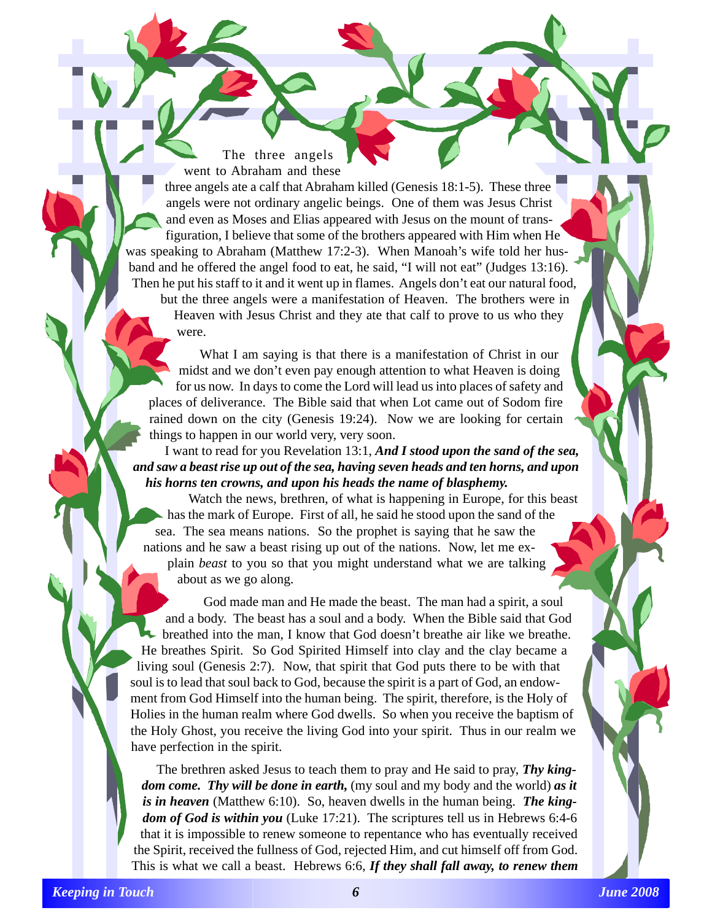The three angels went to Abraham and these

three angels ate a calf that Abraham killed (Genesis 18:1-5). These three angels were not ordinary angelic beings. One of them was Jesus Christ and even as Moses and Elias appeared with Jesus on the mount of transfiguration, I believe that some of the brothers appeared with Him when He was speaking to Abraham (Matthew 17:2-3). When Manoah's wife told her husband and he offered the angel food to eat, he said, "I will not eat" (Judges 13:16). Then he put his staff to it and it went up in flames. Angels don't eat our natural food, but the three angels were a manifestation of Heaven. The brothers were in Heaven with Jesus Christ and they ate that calf to prove to us who they were.

What I am saying is that there is a manifestation of Christ in our midst and we don't even pay enough attention to what Heaven is doing for us now. In days to come the Lord will lead us into places of safety and places of deliverance. The Bible said that when Lot came out of Sodom fire rained down on the city (Genesis 19:24). Now we are looking for certain things to happen in our world very, very soon.

I want to read for you Revelation 13:1, *And I stood upon the sand of the sea, and saw a beast rise up out of the sea, having seven heads and ten horns, and upon his horns ten crowns, and upon his heads the name of blasphemy.*

Watch the news, brethren, of what is happening in Europe, for this beast has the mark of Europe. First of all, he said he stood upon the sand of the sea. The sea means nations. So the prophet is saying that he saw the nations and he saw a beast rising up out of the nations. Now, let me explain *beast* to you so that you might understand what we are talking about as we go along.

God made man and He made the beast. The man had a spirit, a soul and a body. The beast has a soul and a body. When the Bible said that God breathed into the man, I know that God doesn't breathe air like we breathe. He breathes Spirit. So God Spirited Himself into clay and the clay became a living soul (Genesis 2:7). Now, that spirit that God puts there to be with that soul is to lead that soul back to God, because the spirit is a part of God, an endowment from God Himself into the human being. The spirit, therefore, is the Holy of Holies in the human realm where God dwells. So when you receive the baptism of the Holy Ghost, you receive the living God into your spirit. Thus in our realm we have perfection in the spirit.

The brethren asked Jesus to teach them to pray and He said to pray, *Thy kingdom come. Thy will be done in earth,* (my soul and my body and the world) *as it is in heaven* (Matthew 6:10). So, heaven dwells in the human being. *The kingdom of God is within you* (Luke 17:21). The scriptures tell us in Hebrews 6:4-6 that it is impossible to renew someone to repentance who has eventually received the Spirit, received the fullness of God, rejected Him, and cut himself off from God. This is what we call a beast. Hebrews 6:6, *If they shall fall away, to renew them*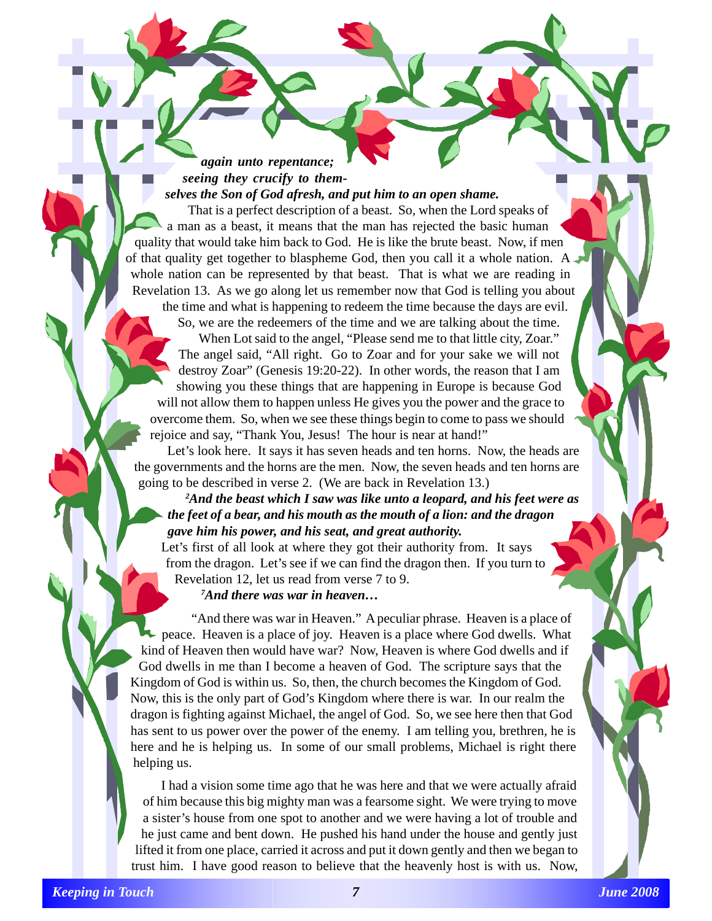*again unto repentance; seeing they crucify to themselves the Son of God afresh, and put him to an open shame.*

That is a perfect description of a beast. So, when the Lord speaks of a man as a beast, it means that the man has rejected the basic human quality that would take him back to God. He is like the brute beast. Now, if men of that quality get together to blaspheme God, then you call it a whole nation. A whole nation can be represented by that beast. That is what we are reading in Revelation 13. As we go along let us remember now that God is telling you about the time and what is happening to redeem the time because the days are evil.

So, we are the redeemers of the time and we are talking about the time. When Lot said to the angel, "Please send me to that little city, Zoar." The angel said, "All right. Go to Zoar and for your sake we will not destroy Zoar" (Genesis 19:20-22). In other words, the reason that I am showing you these things that are happening in Europe is because God will not allow them to happen unless He gives you the power and the grace to overcome them. So, when we see these things begin to come to pass we should rejoice and say, "Thank You, Jesus! The hour is near at hand!"

Let's look here. It says it has seven heads and ten horns. Now, the heads are the governments and the horns are the men. Now, the seven heads and ten horns are going to be described in verse 2. (We are back in Revelation 13.)

*2 And the beast which I saw was like unto a leopard, and his feet were as the feet of a bear, and his mouth as the mouth of a lion: and the dragon gave him his power, and his seat, and great authority.*

Let's first of all look at where they got their authority from. It says from the dragon. Let's see if we can find the dragon then. If you turn to Revelation 12, let us read from verse 7 to 9.

*7 And there was war in heaven…*

"And there was war in Heaven." A peculiar phrase. Heaven is a place of peace. Heaven is a place of joy. Heaven is a place where God dwells. What kind of Heaven then would have war? Now, Heaven is where God dwells and if God dwells in me than I become a heaven of God. The scripture says that the Kingdom of God is within us. So, then, the church becomes the Kingdom of God. Now, this is the only part of God's Kingdom where there is war. In our realm the dragon is fighting against Michael, the angel of God. So, we see here then that God has sent to us power over the power of the enemy. I am telling you, brethren, he is here and he is helping us. In some of our small problems, Michael is right there helping us.

I had a vision some time ago that he was here and that we were actually afraid of him because this big mighty man was a fearsome sight. We were trying to move a sister's house from one spot to another and we were having a lot of trouble and he just came and bent down. He pushed his hand under the house and gently just lifted it from one place, carried it across and put it down gently and then we began to trust him. I have good reason to believe that the heavenly host is with us. Now,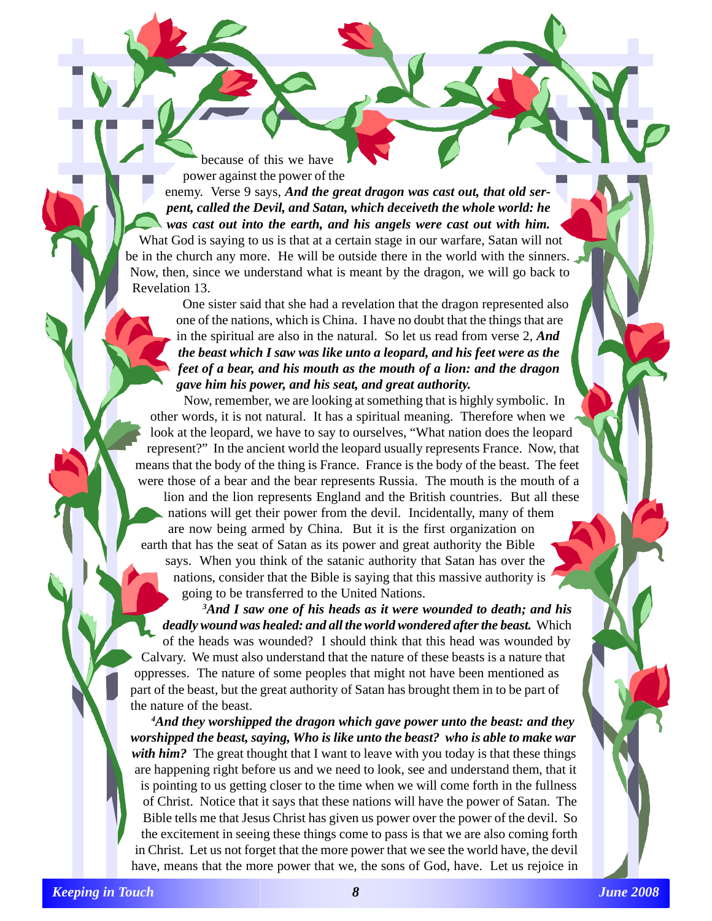because of this we have power against the power of the

enemy. Verse 9 says, *And the great dragon was cast out, that old serpent, called the Devil, and Satan, which deceiveth the whole world: he was cast out into the earth, and his angels were cast out with him.*

What God is saying to us is that at a certain stage in our warfare, Satan will not be in the church any more. He will be outside there in the world with the sinners. Now, then, since we understand what is meant by the dragon, we will go back to Revelation 13.

One sister said that she had a revelation that the dragon represented also one of the nations, which is China. I have no doubt that the things that are in the spiritual are also in the natural. So let us read from verse 2, *And the beast which I saw was like unto a leopard, and his feet were as the feet of a bear, and his mouth as the mouth of a lion: and the dragon gave him his power, and his seat, and great authority.*

Now, remember, we are looking at something that is highly symbolic. In other words, it is not natural. It has a spiritual meaning. Therefore when we look at the leopard, we have to say to ourselves, "What nation does the leopard represent?" In the ancient world the leopard usually represents France. Now, that means that the body of the thing is France. France is the body of the beast. The feet were those of a bear and the bear represents Russia. The mouth is the mouth of a lion and the lion represents England and the British countries. But all these nations will get their power from the devil. Incidentally, many of them are now being armed by China. But it is the first organization on earth that has the seat of Satan as its power and great authority the Bible says. When you think of the satanic authority that Satan has over the nations, consider that the Bible is saying that this massive authority is going to be transferred to the United Nations.

*3 And I saw one of his heads as it were wounded to death; and his deadly wound was healed: and all the world wondered after the beast.* Which of the heads was wounded? I should think that this head was wounded by Calvary. We must also understand that the nature of these beasts is a nature that oppresses. The nature of some peoples that might not have been mentioned as part of the beast, but the great authority of Satan has brought them in to be part of the nature of the beast.

*4 And they worshipped the dragon which gave power unto the beast: and they worshipped the beast, saying, Who is like unto the beast? who is able to make war with him?* The great thought that I want to leave with you today is that these things are happening right before us and we need to look, see and understand them, that it is pointing to us getting closer to the time when we will come forth in the fullness of Christ. Notice that it says that these nations will have the power of Satan. The Bible tells me that Jesus Christ has given us power over the power of the devil. So the excitement in seeing these things come to pass is that we are also coming forth in Christ. Let us not forget that the more power that we see the world have, the devil have, means that the more power that we, the sons of God, have. Let us rejoice in